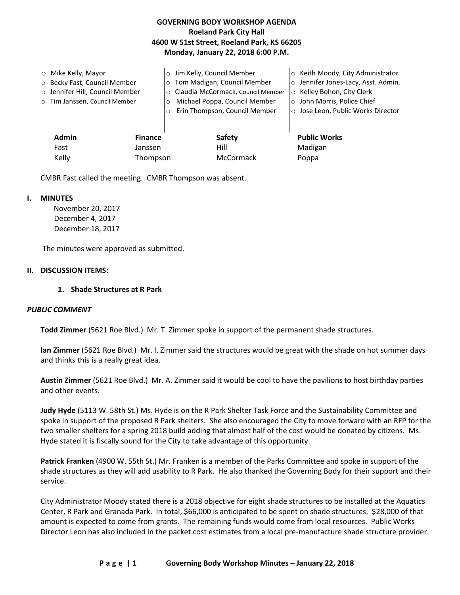## **GOVERNING BODY WORKSHOP AGENDA Roeland Park City Hall 4600 W 51st Street, Roeland Park, KS 66205 Monday, January 22, 2018 6:00 P.M.**

| $\circ$ Mike Kelly, Mayor<br>o Becky Fast, Council Member<br>o Jennifer Hill, Council Member<br>o Tim Janssen, Council Member |                | Jim Kelly, Council Member<br>Tom Madigan, Council Member<br>Claudia McCormack, Council Member<br>$\circ$<br>Michael Poppa, Council Member<br>Erin Thompson, Council Member | ○ Keith Moody, City Administrator<br>o Jennifer Jones-Lacy, Asst. Admin.<br>○ Kelley Bohon, City Clerk<br>o John Morris, Police Chief<br>○ Jose Leon, Public Works Director |
|-------------------------------------------------------------------------------------------------------------------------------|----------------|----------------------------------------------------------------------------------------------------------------------------------------------------------------------------|-----------------------------------------------------------------------------------------------------------------------------------------------------------------------------|
| <b>Admin</b>                                                                                                                  | <b>Finance</b> | Safety                                                                                                                                                                     | <b>Public Works</b>                                                                                                                                                         |
| Fast                                                                                                                          | Janssen        | Hill                                                                                                                                                                       | Madigan                                                                                                                                                                     |
| Kelly                                                                                                                         | Thompson       | McCormack                                                                                                                                                                  | Poppa                                                                                                                                                                       |

CMBR Fast called the meeting. CMBR Thompson was absent.

### **I. MINUTES**

November 20, 2017 December 4, 2017 December 18, 2017

The minutes were approved as submitted.

### **II. DISCUSSION ITEMS:**

### **1. Shade Structures at R Park**

## *PUBLIC COMMENT*

**Todd Zimmer** (5621 Roe Blvd.) Mr. T. Zimmer spoke in support of the permanent shade structures.

**Ian Zimmer** (5621 Roe Blvd.) Mr. I. Zimmer said the structures would be great with the shade on hot summer days and thinks this is a really great idea.

**Austin Zimmer** (5621 Roe Blvd.) Mr. A. Zimmer said it would be cool to have the pavilions to host birthday parties and other events.

**Judy Hyde** (5113 W. 58th St.) Ms. Hyde is on the R Park Shelter Task Force and the Sustainability Committee and spoke in support of the proposed R Park shelters. She also encouraged the City to move forward with an RFP for the two smaller shelters for a spring 2018 build adding that almost half of the cost would be donated by citizens. Ms. Hyde stated it is fiscally sound for the City to take advantage of this opportunity.

**Patrick Franken** (4900 W. 55th St.) Mr. Franken is a member of the Parks Committee and spoke in support of the shade structures as they will add usability to R Park. He also thanked the Governing Body for their support and their service.

City Administrator Moody stated there is a 2018 objective for eight shade structures to be installed at the Aquatics Center, R Park and Granada Park. In total, \$66,000 is anticipated to be spent on shade structures. \$28,000 of that amount is expected to come from grants. The remaining funds would come from local resources. Public Works Director Leon has also included in the packet cost estimates from a local pre-manufacture shade structure provider.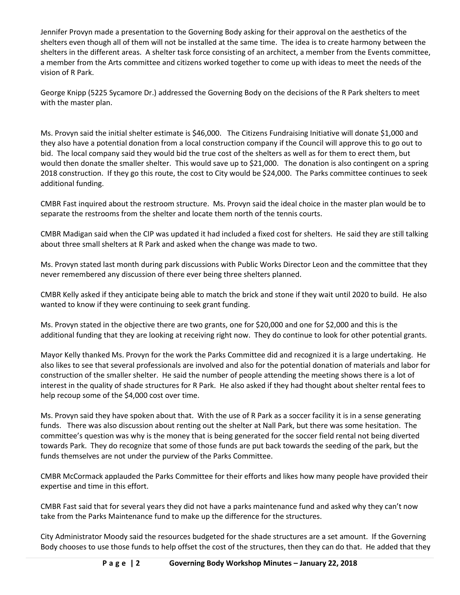Jennifer Provyn made a presentation to the Governing Body asking for their approval on the aesthetics of the shelters even though all of them will not be installed at the same time. The idea is to create harmony between the shelters in the different areas. A shelter task force consisting of an architect, a member from the Events committee, a member from the Arts committee and citizens worked together to come up with ideas to meet the needs of the vision of R Park.

George Knipp (5225 Sycamore Dr.) addressed the Governing Body on the decisions of the R Park shelters to meet with the master plan.

Ms. Provyn said the initial shelter estimate is \$46,000. The Citizens Fundraising Initiative will donate \$1,000 and they also have a potential donation from a local construction company if the Council will approve this to go out to bid. The local company said they would bid the true cost of the shelters as well as for them to erect them, but would then donate the smaller shelter. This would save up to \$21,000. The donation is also contingent on a spring 2018 construction. If they go this route, the cost to City would be \$24,000. The Parks committee continues to seek additional funding.

CMBR Fast inquired about the restroom structure. Ms. Provyn said the ideal choice in the master plan would be to separate the restrooms from the shelter and locate them north of the tennis courts.

CMBR Madigan said when the CIP was updated it had included a fixed cost for shelters. He said they are still talking about three small shelters at R Park and asked when the change was made to two.

Ms. Provyn stated last month during park discussions with Public Works Director Leon and the committee that they never remembered any discussion of there ever being three shelters planned.

CMBR Kelly asked if they anticipate being able to match the brick and stone if they wait until 2020 to build. He also wanted to know if they were continuing to seek grant funding.

Ms. Provyn stated in the objective there are two grants, one for \$20,000 and one for \$2,000 and this is the additional funding that they are looking at receiving right now. They do continue to look for other potential grants.

Mayor Kelly thanked Ms. Provyn for the work the Parks Committee did and recognized it is a large undertaking. He also likes to see that several professionals are involved and also for the potential donation of materials and labor for construction of the smaller shelter. He said the number of people attending the meeting shows there is a lot of interest in the quality of shade structures for R Park. He also asked if they had thought about shelter rental fees to help recoup some of the \$4,000 cost over time.

Ms. Provyn said they have spoken about that. With the use of R Park as a soccer facility it is in a sense generating funds. There was also discussion about renting out the shelter at Nall Park, but there was some hesitation. The committee's question was why is the money that is being generated for the soccer field rental not being diverted towards Park. They do recognize that some of those funds are put back towards the seeding of the park, but the funds themselves are not under the purview of the Parks Committee.

CMBR McCormack applauded the Parks Committee for their efforts and likes how many people have provided their expertise and time in this effort.

CMBR Fast said that for several years they did not have a parks maintenance fund and asked why they can't now take from the Parks Maintenance fund to make up the difference for the structures.

City Administrator Moody said the resources budgeted for the shade structures are a set amount. If the Governing Body chooses to use those funds to help offset the cost of the structures, then they can do that. He added that they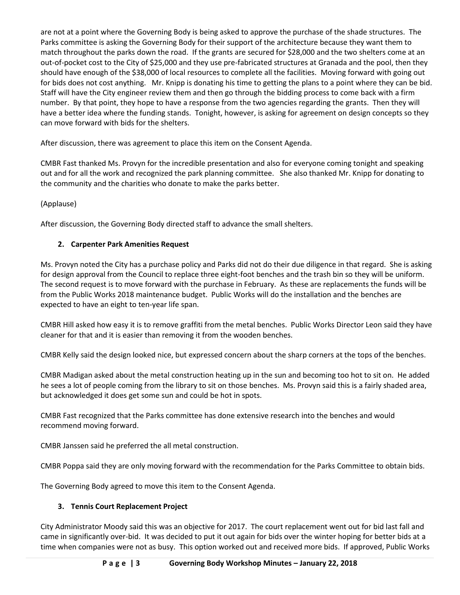are not at a point where the Governing Body is being asked to approve the purchase of the shade structures. The Parks committee is asking the Governing Body for their support of the architecture because they want them to match throughout the parks down the road. If the grants are secured for \$28,000 and the two shelters come at an out-of-pocket cost to the City of \$25,000 and they use pre-fabricated structures at Granada and the pool, then they should have enough of the \$38,000 of local resources to complete all the facilities. Moving forward with going out for bids does not cost anything. Mr. Knipp is donating his time to getting the plans to a point where they can be bid. Staff will have the City engineer review them and then go through the bidding process to come back with a firm number. By that point, they hope to have a response from the two agencies regarding the grants. Then they will have a better idea where the funding stands. Tonight, however, is asking for agreement on design concepts so they can move forward with bids for the shelters.

After discussion, there was agreement to place this item on the Consent Agenda.

CMBR Fast thanked Ms. Provyn for the incredible presentation and also for everyone coming tonight and speaking out and for all the work and recognized the park planning committee. She also thanked Mr. Knipp for donating to the community and the charities who donate to make the parks better.

(Applause)

After discussion, the Governing Body directed staff to advance the small shelters.

# **2. Carpenter Park Amenities Request**

Ms. Provyn noted the City has a purchase policy and Parks did not do their due diligence in that regard. She is asking for design approval from the Council to replace three eight-foot benches and the trash bin so they will be uniform. The second request is to move forward with the purchase in February. As these are replacements the funds will be from the Public Works 2018 maintenance budget. Public Works will do the installation and the benches are expected to have an eight to ten-year life span.

CMBR Hill asked how easy it is to remove graffiti from the metal benches. Public Works Director Leon said they have cleaner for that and it is easier than removing it from the wooden benches.

CMBR Kelly said the design looked nice, but expressed concern about the sharp corners at the tops of the benches.

CMBR Madigan asked about the metal construction heating up in the sun and becoming too hot to sit on. He added he sees a lot of people coming from the library to sit on those benches. Ms. Provyn said this is a fairly shaded area, but acknowledged it does get some sun and could be hot in spots.

CMBR Fast recognized that the Parks committee has done extensive research into the benches and would recommend moving forward.

CMBR Janssen said he preferred the all metal construction.

CMBR Poppa said they are only moving forward with the recommendation for the Parks Committee to obtain bids.

The Governing Body agreed to move this item to the Consent Agenda.

# **3. Tennis Court Replacement Project**

City Administrator Moody said this was an objective for 2017. The court replacement went out for bid last fall and came in significantly over-bid. It was decided to put it out again for bids over the winter hoping for better bids at a time when companies were not as busy. This option worked out and received more bids. If approved, Public Works